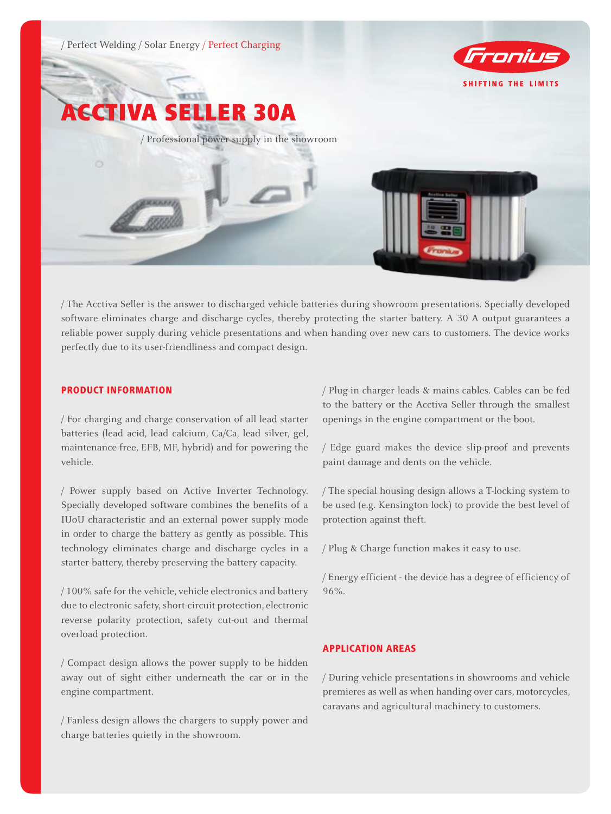

/ The Acctiva Seller is the answer to discharged vehicle batteries during showroom presentations. Specially developed software eliminates charge and discharge cycles, thereby protecting the starter battery. A 30 A output guarantees a reliable power supply during vehicle presentations and when handing over new cars to customers. The device works perfectly due to its user-friendliness and compact design.

## PRODUCT INFORMATION

/ For charging and charge conservation of all lead starter batteries (lead acid, lead calcium, Ca/Ca, lead silver, gel, maintenance-free, EFB, MF, hybrid) and for powering the vehicle.

/ Power supply based on Active Inverter Technology. Specially developed software combines the benefits of a IUoU characteristic and an external power supply mode in order to charge the battery as gently as possible. This technology eliminates charge and discharge cycles in a starter battery, thereby preserving the battery capacity.

/ 100% safe for the vehicle, vehicle electronics and battery due to electronic safety, short-circuit protection, electronic reverse polarity protection, safety cut-out and thermal overload protection.

/ Compact design allows the power supply to be hidden away out of sight either underneath the car or in the engine compartment.

/ Fanless design allows the chargers to supply power and charge batteries quietly in the showroom.

/ Plug-in charger leads & mains cables. Cables can be fed to the battery or the Acctiva Seller through the smallest openings in the engine compartment or the boot.

/ Edge guard makes the device slip-proof and prevents paint damage and dents on the vehicle.

/ The special housing design allows a T-locking system to be used (e.g. Kensington lock) to provide the best level of protection against theft.

/ Plug & Charge function makes it easy to use.

/ Energy efficient - the device has a degree of efficiency of 96%.

## APPLICATION AREAS

/ During vehicle presentations in showrooms and vehicle premieres as well as when handing over cars, motorcycles, caravans and agricultural machinery to customers.